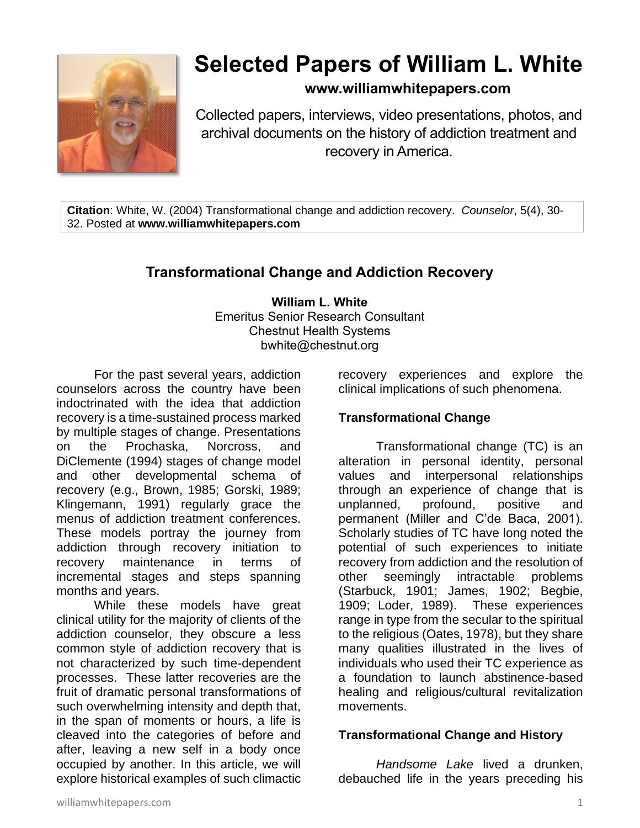

# **Selected Papers of William L. White**

# **www.williamwhitepapers.com**

Collected papers, interviews, video presentations, photos, and archival documents on the history of addiction treatment and recovery in America.

**Citation**: White, W. (2004) Transformational change and addiction recovery. *Counselor*, 5(4), 30- 32. Posted at **www.williamwhitepapers.com**

# **Transformational Change and Addiction Recovery**

**William L. White** Emeritus Senior Research Consultant Chestnut Health Systems bwhite@chestnut.org

For the past several years, addiction counselors across the country have been indoctrinated with the idea that addiction recovery is a time-sustained process marked by multiple stages of change. Presentations on the Prochaska, Norcross, and DiClemente (1994) stages of change model and other developmental schema of recovery (e.g., Brown, 1985; Gorski, 1989; Klingemann, 1991) regularly grace the menus of addiction treatment conferences. These models portray the journey from addiction through recovery initiation to recovery maintenance in terms of incremental stages and steps spanning months and years.

While these models have great clinical utility for the majority of clients of the addiction counselor, they obscure a less common style of addiction recovery that is not characterized by such time-dependent processes. These latter recoveries are the fruit of dramatic personal transformations of such overwhelming intensity and depth that, in the span of moments or hours, a life is cleaved into the categories of before and after, leaving a new self in a body once occupied by another. In this article, we will explore historical examples of such climactic

recovery experiences and explore the clinical implications of such phenomena.

# **Transformational Change**

Transformational change (TC) is an alteration in personal identity, personal values and interpersonal relationships through an experience of change that is unplanned, profound, positive and permanent (Miller and C'de Baca, 2001). Scholarly studies of TC have long noted the potential of such experiences to initiate recovery from addiction and the resolution of<br>other seemingly intractable problems other seemingly intractable (Starbuck, 1901; James, 1902; Begbie, 1909; Loder, 1989). These experiences range in type from the secular to the spiritual to the religious (Oates, 1978), but they share many qualities illustrated in the lives of individuals who used their TC experience as a foundation to launch abstinence-based healing and religious/cultural revitalization movements.

#### **Transformational Change and History**

*Handsome Lake* lived a drunken, debauched life in the years preceding his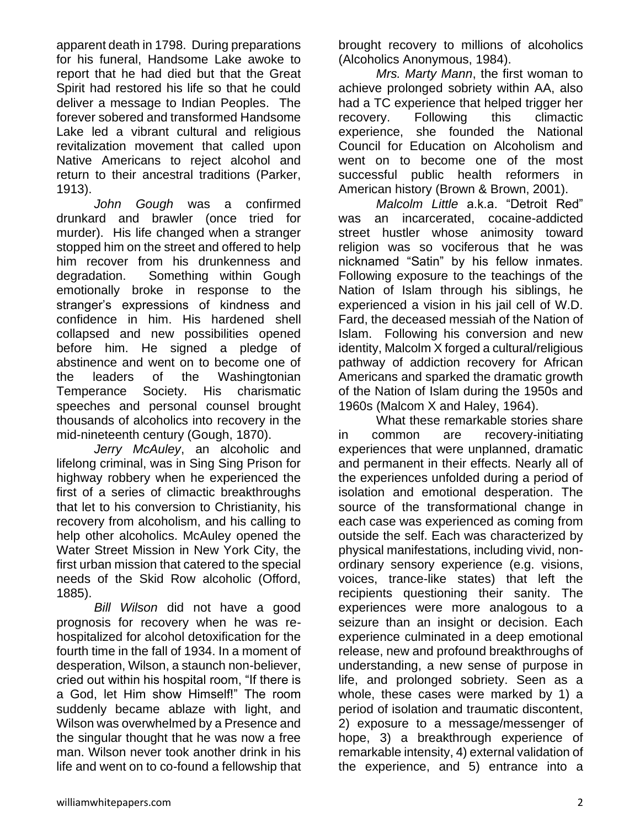apparent death in 1798. During preparations for his funeral, Handsome Lake awoke to report that he had died but that the Great Spirit had restored his life so that he could deliver a message to Indian Peoples. The forever sobered and transformed Handsome Lake led a vibrant cultural and religious revitalization movement that called upon Native Americans to reject alcohol and return to their ancestral traditions (Parker, 1913).

*John Gough* was a confirmed drunkard and brawler (once tried for murder). His life changed when a stranger stopped him on the street and offered to help him recover from his drunkenness and degradation. Something within Gough emotionally broke in response to the stranger's expressions of kindness and confidence in him. His hardened shell collapsed and new possibilities opened before him. He signed a pledge of abstinence and went on to become one of the leaders of the Washingtonian Temperance Society. His charismatic speeches and personal counsel brought thousands of alcoholics into recovery in the mid-nineteenth century (Gough, 1870).

*Jerry McAuley*, an alcoholic and lifelong criminal, was in Sing Sing Prison for highway robbery when he experienced the first of a series of climactic breakthroughs that let to his conversion to Christianity, his recovery from alcoholism, and his calling to help other alcoholics. McAuley opened the Water Street Mission in New York City, the first urban mission that catered to the special needs of the Skid Row alcoholic (Offord, 1885).

*Bill Wilson* did not have a good prognosis for recovery when he was rehospitalized for alcohol detoxification for the fourth time in the fall of 1934. In a moment of desperation, Wilson, a staunch non-believer, cried out within his hospital room, "If there is a God, let Him show Himself!" The room suddenly became ablaze with light, and Wilson was overwhelmed by a Presence and the singular thought that he was now a free man. Wilson never took another drink in his life and went on to co-found a fellowship that brought recovery to millions of alcoholics (Alcoholics Anonymous, 1984).

*Mrs. Marty Mann*, the first woman to achieve prolonged sobriety within AA, also had a TC experience that helped trigger her recovery. Following this climactic experience, she founded the National Council for Education on Alcoholism and went on to become one of the most successful public health reformers in American history (Brown & Brown, 2001).

*Malcolm Little* a.k.a. "Detroit Red" was an incarcerated, cocaine-addicted street hustler whose animosity toward religion was so vociferous that he was nicknamed "Satin" by his fellow inmates. Following exposure to the teachings of the Nation of Islam through his siblings, he experienced a vision in his jail cell of W.D. Fard, the deceased messiah of the Nation of Islam. Following his conversion and new identity, Malcolm X forged a cultural/religious pathway of addiction recovery for African Americans and sparked the dramatic growth of the Nation of Islam during the 1950s and 1960s (Malcom X and Haley, 1964).

What these remarkable stories share in common are recovery-initiating experiences that were unplanned, dramatic and permanent in their effects. Nearly all of the experiences unfolded during a period of isolation and emotional desperation. The source of the transformational change in each case was experienced as coming from outside the self. Each was characterized by physical manifestations, including vivid, nonordinary sensory experience (e.g. visions, voices, trance-like states) that left the recipients questioning their sanity. The experiences were more analogous to a seizure than an insight or decision. Each experience culminated in a deep emotional release, new and profound breakthroughs of understanding, a new sense of purpose in life, and prolonged sobriety. Seen as a whole, these cases were marked by 1) a period of isolation and traumatic discontent, 2) exposure to a message/messenger of hope, 3) a breakthrough experience of remarkable intensity, 4) external validation of the experience, and 5) entrance into a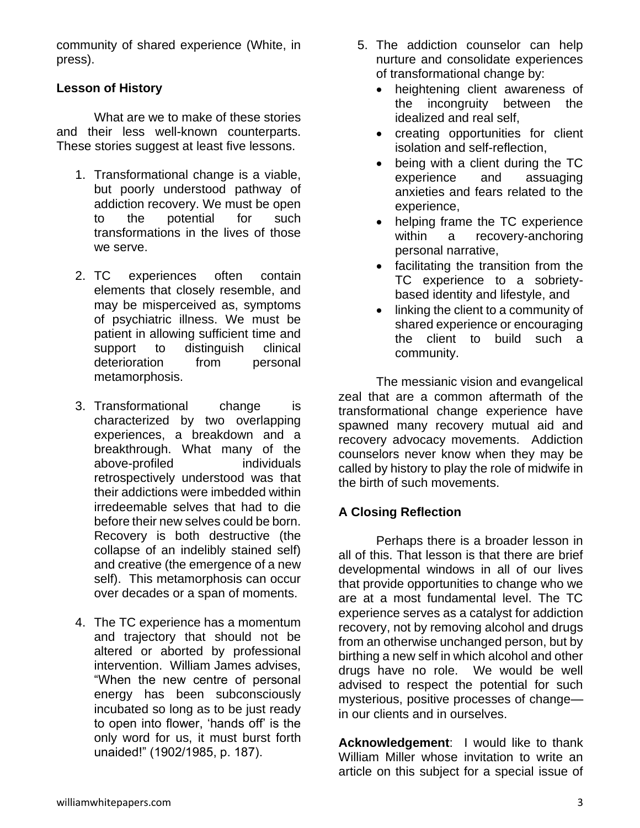community of shared experience (White, in press).

# **Lesson of History**

What are we to make of these stories and their less well-known counterparts. These stories suggest at least five lessons.

- 1. Transformational change is a viable, but poorly understood pathway of addiction recovery. We must be open to the potential for such transformations in the lives of those we serve.
- 2. TC experiences often contain elements that closely resemble, and may be misperceived as, symptoms of psychiatric illness. We must be patient in allowing sufficient time and support to distinguish clinical deterioration from personal metamorphosis.
- 3. Transformational change is characterized by two overlapping experiences, a breakdown and a breakthrough. What many of the above-profiled individuals retrospectively understood was that their addictions were imbedded within irredeemable selves that had to die before their new selves could be born. Recovery is both destructive (the collapse of an indelibly stained self) and creative (the emergence of a new self). This metamorphosis can occur over decades or a span of moments.
- 4. The TC experience has a momentum and trajectory that should not be altered or aborted by professional intervention. William James advises, "When the new centre of personal energy has been subconsciously incubated so long as to be just ready to open into flower, 'hands off' is the only word for us, it must burst forth unaided!" (1902/1985, p. 187).
- 5. The addiction counselor can help nurture and consolidate experiences of transformational change by:
	- heightening client awareness of the incongruity between the idealized and real self,
	- creating opportunities for client isolation and self-reflection,
	- being with a client during the TC experience and assuaging anxieties and fears related to the experience,
	- helping frame the TC experience within a recovery-anchoring personal narrative,
	- facilitating the transition from the TC experience to a sobrietybased identity and lifestyle, and
	- linking the client to a community of shared experience or encouraging the client to build such a community.

The messianic vision and evangelical zeal that are a common aftermath of the transformational change experience have spawned many recovery mutual aid and recovery advocacy movements. Addiction counselors never know when they may be called by history to play the role of midwife in the birth of such movements.

# **A Closing Reflection**

Perhaps there is a broader lesson in all of this. That lesson is that there are brief developmental windows in all of our lives that provide opportunities to change who we are at a most fundamental level. The TC experience serves as a catalyst for addiction recovery, not by removing alcohol and drugs from an otherwise unchanged person, but by birthing a new self in which alcohol and other drugs have no role. We would be well advised to respect the potential for such mysterious, positive processes of change in our clients and in ourselves.

**Acknowledgement**: I would like to thank William Miller whose invitation to write an article on this subject for a special issue of